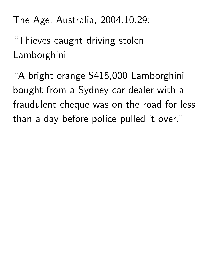The Age, Australia, 2004.10.29:

"Thieves caught driving stolen Lamborghini

"A bright orange \$415,000 Lamborghini bought from a Sydney car dealer with a fraudulent cheque was on the road for less than a day before police pulled it over."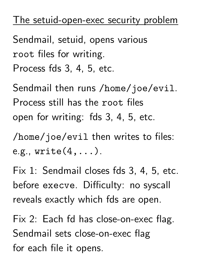## The setuid-open-exec security problem

Sendmail, setuid, opens various root files for writing. Process fds 3, 4, 5, etc.

Sendmail then runs /home/joe/evil. Process still has the root files open for writing: fds 3, 4, 5, etc.

/home/joe/evil then writes to files: e.g.,  $write(4, \ldots).$ 

Fix 1: Sendmail closes fds 3, 4, 5, etc. before execve. Difficulty: no syscall reveals exactly which fds are open.

Fix 2: Each fd has close-on-exec flag. Sendmail sets close-on-exec flag for each file it opens.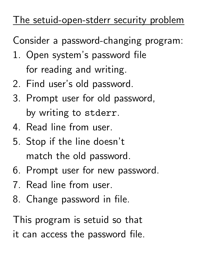## The setuid-open-stderr security problem

Consider a password-changing program:

- 1. Open system's password file for reading and writing.
- 2. Find user's old password.
- 3. Prompt user for old password, by writing to stderr.
- 4. Read line from user.
- 5. Stop if the line doesn't match the old password.
- 6. Prompt user for new password.
- 7. Read line from user.
- 8. Change password in file.

This program is setuid so that it can access the password file.